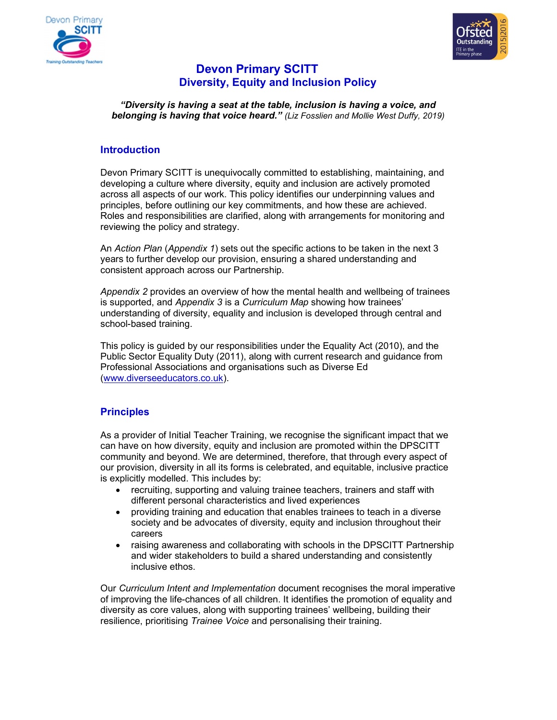



# Devon Primary SCITT Diversity, Equity and Inclusion Policy

"Diversity is having a seat at the table, inclusion is having a voice, and belonging is having that voice heard." (Liz Fosslien and Mollie West Duffy, 2019)

# Introduction

Devon Primary SCITT is unequivocally committed to establishing, maintaining, and developing a culture where diversity, equity and inclusion are actively promoted across all aspects of our work. This policy identifies our underpinning values and principles, before outlining our key commitments, and how these are achieved. Roles and responsibilities are clarified, along with arrangements for monitoring and reviewing the policy and strategy.

An Action Plan (Appendix 1) sets out the specific actions to be taken in the next 3 years to further develop our provision, ensuring a shared understanding and consistent approach across our Partnership.

Appendix 2 provides an overview of how the mental health and wellbeing of trainees is supported, and Appendix 3 is a Curriculum Map showing how trainees' understanding of diversity, equality and inclusion is developed through central and school-based training.

This policy is guided by our responsibilities under the Equality Act (2010), and the Public Sector Equality Duty (2011), along with current research and guidance from Professional Associations and organisations such as Diverse Ed (www.diverseeducators.co.uk).

# **Principles**

As a provider of Initial Teacher Training, we recognise the significant impact that we can have on how diversity, equity and inclusion are promoted within the DPSCITT community and beyond. We are determined, therefore, that through every aspect of our provision, diversity in all its forms is celebrated, and equitable, inclusive practice is explicitly modelled. This includes by:

- recruiting, supporting and valuing trainee teachers, trainers and staff with different personal characteristics and lived experiences
- providing training and education that enables trainees to teach in a diverse society and be advocates of diversity, equity and inclusion throughout their careers
- raising awareness and collaborating with schools in the DPSCITT Partnership and wider stakeholders to build a shared understanding and consistently inclusive ethos.

Our Curriculum Intent and Implementation document recognises the moral imperative of improving the life-chances of all children. It identifies the promotion of equality and diversity as core values, along with supporting trainees' wellbeing, building their resilience, prioritising Trainee Voice and personalising their training.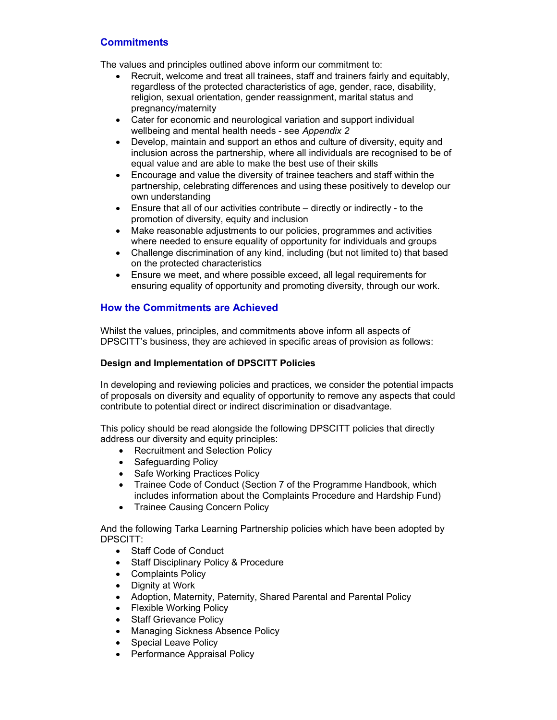# **Commitments**

The values and principles outlined above inform our commitment to:

- Recruit, welcome and treat all trainees, staff and trainers fairly and equitably, regardless of the protected characteristics of age, gender, race, disability, religion, sexual orientation, gender reassignment, marital status and pregnancy/maternity
- Cater for economic and neurological variation and support individual wellbeing and mental health needs - see Appendix 2
- Develop, maintain and support an ethos and culture of diversity, equity and inclusion across the partnership, where all individuals are recognised to be of equal value and are able to make the best use of their skills
- Encourage and value the diversity of trainee teachers and staff within the partnership, celebrating differences and using these positively to develop our own understanding
- Ensure that all of our activities contribute directly or indirectly to the promotion of diversity, equity and inclusion
- Make reasonable adjustments to our policies, programmes and activities where needed to ensure equality of opportunity for individuals and groups
- Challenge discrimination of any kind, including (but not limited to) that based on the protected characteristics
- Ensure we meet, and where possible exceed, all legal requirements for ensuring equality of opportunity and promoting diversity, through our work.

# How the Commitments are Achieved

Whilst the values, principles, and commitments above inform all aspects of DPSCITT's business, they are achieved in specific areas of provision as follows:

### Design and Implementation of DPSCITT Policies

In developing and reviewing policies and practices, we consider the potential impacts of proposals on diversity and equality of opportunity to remove any aspects that could contribute to potential direct or indirect discrimination or disadvantage.

This policy should be read alongside the following DPSCITT policies that directly address our diversity and equity principles:

- Recruitment and Selection Policy
- Safeguarding Policy
- Safe Working Practices Policy
- Trainee Code of Conduct (Section 7 of the Programme Handbook, which includes information about the Complaints Procedure and Hardship Fund)
- Trainee Causing Concern Policy

And the following Tarka Learning Partnership policies which have been adopted by DPSCITT:

- Staff Code of Conduct
- Staff Disciplinary Policy & Procedure
- Complaints Policy
- Dignity at Work
- Adoption, Maternity, Paternity, Shared Parental and Parental Policy
- Flexible Working Policy
- Staff Grievance Policy
- Managing Sickness Absence Policy
- Special Leave Policy
- Performance Appraisal Policy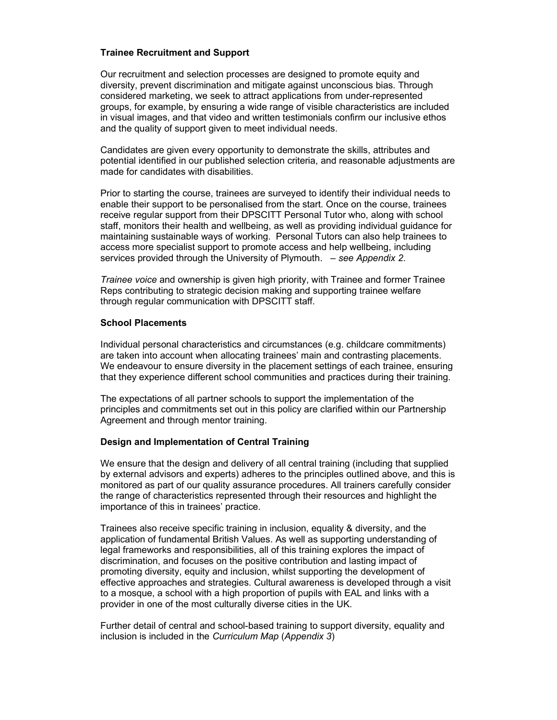### Trainee Recruitment and Support

Our recruitment and selection processes are designed to promote equity and diversity, prevent discrimination and mitigate against unconscious bias. Through considered marketing, we seek to attract applications from under-represented groups, for example, by ensuring a wide range of visible characteristics are included in visual images, and that video and written testimonials confirm our inclusive ethos and the quality of support given to meet individual needs.

Candidates are given every opportunity to demonstrate the skills, attributes and potential identified in our published selection criteria, and reasonable adjustments are made for candidates with disabilities.

Prior to starting the course, trainees are surveyed to identify their individual needs to enable their support to be personalised from the start. Once on the course, trainees receive regular support from their DPSCITT Personal Tutor who, along with school staff, monitors their health and wellbeing, as well as providing individual guidance for maintaining sustainable ways of working. Personal Tutors can also help trainees to access more specialist support to promote access and help wellbeing, including services provided through the University of Plymouth. - see Appendix 2.

Trainee voice and ownership is given high priority, with Trainee and former Trainee Reps contributing to strategic decision making and supporting trainee welfare through regular communication with DPSCITT staff.

#### School Placements

Individual personal characteristics and circumstances (e.g. childcare commitments) are taken into account when allocating trainees' main and contrasting placements. We endeavour to ensure diversity in the placement settings of each trainee, ensuring that they experience different school communities and practices during their training.

The expectations of all partner schools to support the implementation of the principles and commitments set out in this policy are clarified within our Partnership Agreement and through mentor training.

#### Design and Implementation of Central Training

We ensure that the design and delivery of all central training (including that supplied by external advisors and experts) adheres to the principles outlined above, and this is monitored as part of our quality assurance procedures. All trainers carefully consider the range of characteristics represented through their resources and highlight the importance of this in trainees' practice.

Trainees also receive specific training in inclusion, equality & diversity, and the application of fundamental British Values. As well as supporting understanding of legal frameworks and responsibilities, all of this training explores the impact of discrimination, and focuses on the positive contribution and lasting impact of promoting diversity, equity and inclusion, whilst supporting the development of effective approaches and strategies. Cultural awareness is developed through a visit to a mosque, a school with a high proportion of pupils with EAL and links with a provider in one of the most culturally diverse cities in the UK.

Further detail of central and school-based training to support diversity, equality and inclusion is included in the Curriculum Map (Appendix 3)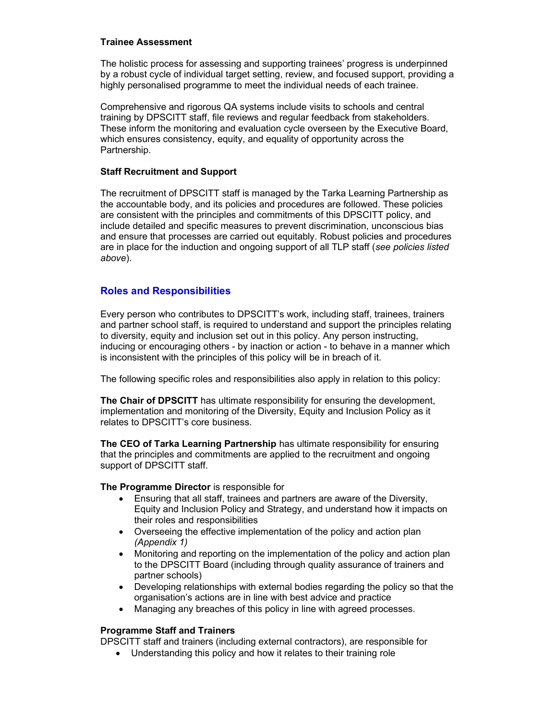### Trainee Assessment

The holistic process for assessing and supporting trainees' progress is underpinned by a robust cycle of individual target setting, review, and focused support, providing a highly personalised programme to meet the individual needs of each trainee.

Comprehensive and rigorous QA systems include visits to schools and central training by DPSCITT staff, file reviews and regular feedback from stakeholders. These inform the monitoring and evaluation cycle overseen by the Executive Board, which ensures consistency, equity, and equality of opportunity across the Partnership.

### Staff Recruitment and Support

The recruitment of DPSCITT staff is managed by the Tarka Learning Partnership as the accountable body, and its policies and procedures are followed. These policies are consistent with the principles and commitments of this DPSCITT policy, and include detailed and specific measures to prevent discrimination, unconscious bias and ensure that processes are carried out equitably. Robust policies and procedures are in place for the induction and ongoing support of all TLP staff (see policies listed above).

## Roles and Responsibilities

Every person who contributes to DPSCITT's work, including staff, trainees, trainers and partner school staff, is required to understand and support the principles relating to diversity, equity and inclusion set out in this policy. Any person instructing, inducing or encouraging others - by inaction or action - to behave in a manner which is inconsistent with the principles of this policy will be in breach of it.

The following specific roles and responsibilities also apply in relation to this policy:

The Chair of DPSCITT has ultimate responsibility for ensuring the development, implementation and monitoring of the Diversity, Equity and Inclusion Policy as it relates to DPSCITT's core business.

The CEO of Tarka Learning Partnership has ultimate responsibility for ensuring that the principles and commitments are applied to the recruitment and ongoing support of DPSCITT staff.

#### The Programme Director is responsible for

- Ensuring that all staff, trainees and partners are aware of the Diversity, Equity and Inclusion Policy and Strategy, and understand how it impacts on their roles and responsibilities
- Overseeing the effective implementation of the policy and action plan (Appendix 1)
- Monitoring and reporting on the implementation of the policy and action plan to the DPSCITT Board (including through quality assurance of trainers and partner schools)
- Developing relationships with external bodies regarding the policy so that the organisation's actions are in line with best advice and practice
- Managing any breaches of this policy in line with agreed processes.

### Programme Staff and Trainers

DPSCITT staff and trainers (including external contractors), are responsible for

Understanding this policy and how it relates to their training role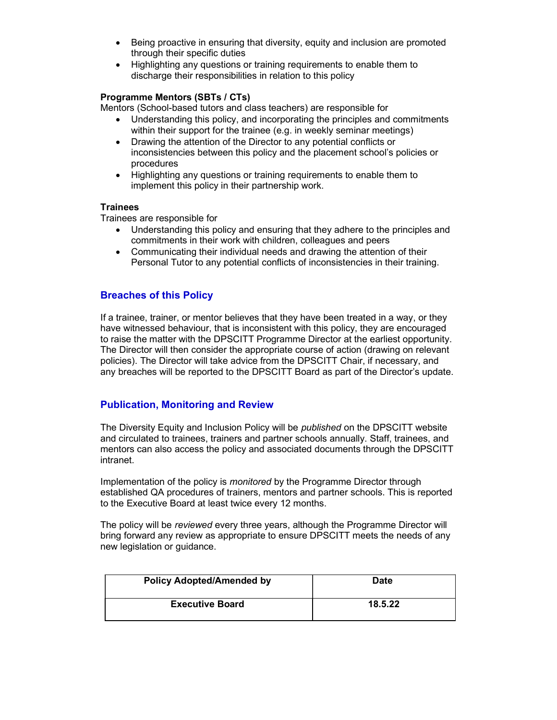- Being proactive in ensuring that diversity, equity and inclusion are promoted through their specific duties
- Highlighting any questions or training requirements to enable them to discharge their responsibilities in relation to this policy

### Programme Mentors (SBTs / CTs)

Mentors (School-based tutors and class teachers) are responsible for

- Understanding this policy, and incorporating the principles and commitments within their support for the trainee (e.g. in weekly seminar meetings)
- Drawing the attention of the Director to any potential conflicts or inconsistencies between this policy and the placement school's policies or procedures
- Highlighting any questions or training requirements to enable them to implement this policy in their partnership work.

### **Trainees**

Trainees are responsible for

- Understanding this policy and ensuring that they adhere to the principles and commitments in their work with children, colleagues and peers
- Communicating their individual needs and drawing the attention of their Personal Tutor to any potential conflicts of inconsistencies in their training.

# Breaches of this Policy

If a trainee, trainer, or mentor believes that they have been treated in a way, or they have witnessed behaviour, that is inconsistent with this policy, they are encouraged to raise the matter with the DPSCITT Programme Director at the earliest opportunity. The Director will then consider the appropriate course of action (drawing on relevant policies). The Director will take advice from the DPSCITT Chair, if necessary, and any breaches will be reported to the DPSCITT Board as part of the Director's update.

# Publication, Monitoring and Review

The Diversity Equity and Inclusion Policy will be *published* on the DPSCITT website and circulated to trainees, trainers and partner schools annually. Staff, trainees, and mentors can also access the policy and associated documents through the DPSCITT intranet.

Implementation of the policy is *monitored* by the Programme Director through established QA procedures of trainers, mentors and partner schools. This is reported to the Executive Board at least twice every 12 months.

The policy will be reviewed every three years, although the Programme Director will bring forward any review as appropriate to ensure DPSCITT meets the needs of any new legislation or guidance.

| <b>Policy Adopted/Amended by</b> | <b>Date</b> |
|----------------------------------|-------------|
| <b>Executive Board</b>           | 18.5.22     |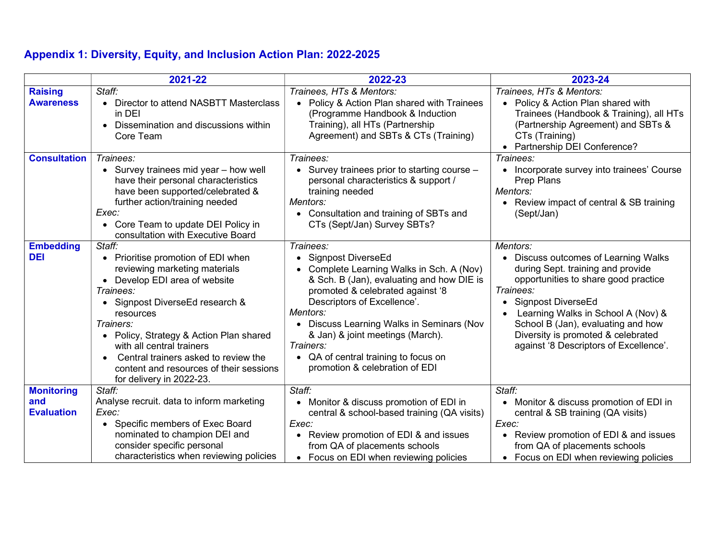# Appendix 1: Diversity, Equity, and Inclusion Action Plan: 2022-2025

|                                               | 2021-22                                                                                                                                                                                                                                                                                                                                                                                                          | 2022-23                                                                                                                                                                                                                                                                                                                                                                          | 2023-24                                                                                                                                                                                                                                                                                                                    |
|-----------------------------------------------|------------------------------------------------------------------------------------------------------------------------------------------------------------------------------------------------------------------------------------------------------------------------------------------------------------------------------------------------------------------------------------------------------------------|----------------------------------------------------------------------------------------------------------------------------------------------------------------------------------------------------------------------------------------------------------------------------------------------------------------------------------------------------------------------------------|----------------------------------------------------------------------------------------------------------------------------------------------------------------------------------------------------------------------------------------------------------------------------------------------------------------------------|
| <b>Raising</b><br><b>Awareness</b>            | Staff:<br>• Director to attend NASBTT Masterclass<br>in DEI<br>Dissemination and discussions within<br>$\bullet$<br>Core Team                                                                                                                                                                                                                                                                                    | Trainees, HTs & Mentors:<br>• Policy & Action Plan shared with Trainees<br>(Programme Handbook & Induction<br>Training), all HTs (Partnership<br>Agreement) and SBTs & CTs (Training)                                                                                                                                                                                            | Trainees, HTs & Mentors:<br>• Policy & Action Plan shared with<br>Trainees (Handbook & Training), all HTs<br>(Partnership Agreement) and SBTs &<br>CTs (Training)<br>Partnership DEI Conference?                                                                                                                           |
| <b>Consultation</b>                           | Trainees:<br>• Survey trainees mid year - how well<br>have their personal characteristics<br>have been supported/celebrated &<br>further action/training needed<br>Exec:<br>• Core Team to update DEI Policy in<br>consultation with Executive Board                                                                                                                                                             | Trainees:<br>• Survey trainees prior to starting course -<br>personal characteristics & support /<br>training needed<br>Mentors:<br>• Consultation and training of SBTs and<br>CTs (Sept/Jan) Survey SBTs?                                                                                                                                                                       | Trainees:<br>Incorporate survey into trainees' Course<br>Prep Plans<br>Mentors:<br>Review impact of central & SB training<br>(Sept/Jan)                                                                                                                                                                                    |
| <b>Embedding</b><br><b>DEI</b>                | Staff:<br>• Prioritise promotion of EDI when<br>reviewing marketing materials<br>Develop EDI area of website<br>$\bullet$<br>Trainees:<br>Signpost DiverseEd research &<br>$\bullet$<br>resources<br>Trainers:<br>Policy, Strategy & Action Plan shared<br>$\bullet$<br>with all central trainers<br>Central trainers asked to review the<br>content and resources of their sessions<br>for delivery in 2022-23. | Trainees:<br>• Signpost DiverseEd<br>• Complete Learning Walks in Sch. A (Nov)<br>& Sch. B (Jan), evaluating and how DIE is<br>promoted & celebrated against '8<br>Descriptors of Excellence'.<br>Mentors:<br>Discuss Learning Walks in Seminars (Nov<br>& Jan) & joint meetings (March).<br>Trainers:<br>• QA of central training to focus on<br>promotion & celebration of EDI | Mentors:<br>Discuss outcomes of Learning Walks<br>during Sept. training and provide<br>opportunities to share good practice<br>Trainees:<br>Signpost DiverseEd<br>Learning Walks in School A (Nov) &<br>School B (Jan), evaluating and how<br>Diversity is promoted & celebrated<br>against '8 Descriptors of Excellence'. |
| <b>Monitoring</b><br>and<br><b>Evaluation</b> | Staff:<br>Analyse recruit. data to inform marketing<br>Exec:<br>• Specific members of Exec Board<br>nominated to champion DEI and<br>consider specific personal<br>characteristics when reviewing policies                                                                                                                                                                                                       | Staff:<br>Monitor & discuss promotion of EDI in<br>central & school-based training (QA visits)<br>Exec:<br>• Review promotion of EDI & and issues<br>from QA of placements schools<br>• Focus on EDI when reviewing policies                                                                                                                                                     | Staff:<br>Monitor & discuss promotion of EDI in<br>central & SB training (QA visits)<br>Exec:<br>Review promotion of EDI & and issues<br>from QA of placements schools<br>Focus on EDI when reviewing policies                                                                                                             |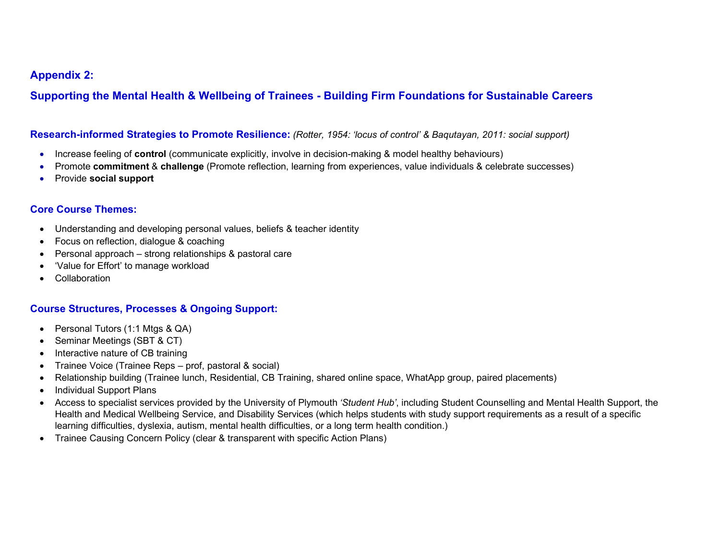# Appendix 2:

Supporting the Mental Health & Wellbeing of Trainees - Building Firm Foundations for Sustainable Careers

## Research-informed Strategies to Promote Resilience: (Rotter, 1954: 'locus of control' & Baqutayan, 2011: social support)

- Increase feeling of **control** (communicate explicitly, involve in decision-making & model healthy behaviours)
- Promote commitment & challenge (Promote reflection, learning from experiences, value individuals & celebrate successes)
- Provide social support

# Core Course Themes:

- Understanding and developing personal values, beliefs & teacher identity
- Focus on reflection, dialogue & coaching
- Personal approach strong relationships & pastoral care
- 'Value for Effort' to manage workload
- Collaboration

# Course Structures, Processes & Ongoing Support:

- Personal Tutors (1:1 Mtgs & QA)
- Seminar Meetings (SBT & CT)
- Interactive nature of CB training
- Trainee Voice (Trainee Reps prof, pastoral & social)
- Relationship building (Trainee lunch, Residential, CB Training, shared online space, WhatApp group, paired placements)
- Individual Support Plans
- Access to specialist services provided by the University of Plymouth 'Student Hub', including Student Counselling and Mental Health Support, the Health and Medical Wellbeing Service, and Disability Services (which helps students with study support requirements as a result of a specific learning difficulties, dyslexia, autism, mental health difficulties, or a long term health condition.)
- Trainee Causing Concern Policy (clear & transparent with specific Action Plans)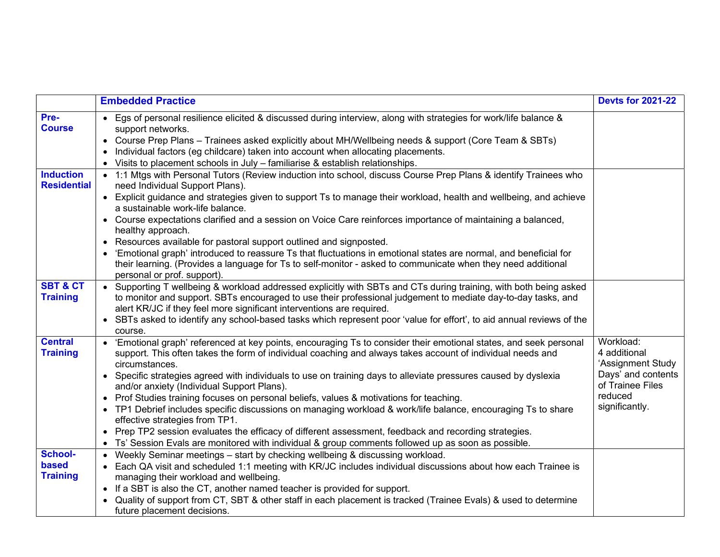|                                        | <b>Embedded Practice</b>                                                                                                                                                                                                                                                                                                                                                                                                                                                                                                                                                                                                                                                                                                                                                                                                                                                          | <b>Devts for 2021-22</b>                                                                                              |
|----------------------------------------|-----------------------------------------------------------------------------------------------------------------------------------------------------------------------------------------------------------------------------------------------------------------------------------------------------------------------------------------------------------------------------------------------------------------------------------------------------------------------------------------------------------------------------------------------------------------------------------------------------------------------------------------------------------------------------------------------------------------------------------------------------------------------------------------------------------------------------------------------------------------------------------|-----------------------------------------------------------------------------------------------------------------------|
| Pre-<br><b>Course</b>                  | • Egs of personal resilience elicited & discussed during interview, along with strategies for work/life balance &<br>support networks.<br>• Course Prep Plans - Trainees asked explicitly about MH/Wellbeing needs & support (Core Team & SBTs)<br>• Individual factors (eg childcare) taken into account when allocating placements.<br>• Visits to placement schools in July - familiarise & establish relationships.                                                                                                                                                                                                                                                                                                                                                                                                                                                           |                                                                                                                       |
| <b>Induction</b><br><b>Residential</b> | • 1:1 Mtgs with Personal Tutors (Review induction into school, discuss Course Prep Plans & identify Trainees who<br>need Individual Support Plans).<br>• Explicit guidance and strategies given to support Ts to manage their workload, health and wellbeing, and achieve<br>a sustainable work-life balance.<br>• Course expectations clarified and a session on Voice Care reinforces importance of maintaining a balanced,<br>healthy approach.<br>• Resources available for pastoral support outlined and signposted.<br>• 'Emotional graph' introduced to reassure Ts that fluctuations in emotional states are normal, and beneficial for<br>their learning. (Provides a language for Ts to self-monitor - asked to communicate when they need additional<br>personal or prof. support).                                                                                    |                                                                                                                       |
| <b>SBT &amp; CT</b><br><b>Training</b> | • Supporting T wellbeing & workload addressed explicitly with SBTs and CTs during training, with both being asked<br>to monitor and support. SBTs encouraged to use their professional judgement to mediate day-to-day tasks, and<br>alert KR/JC if they feel more significant interventions are required.<br>• SBTs asked to identify any school-based tasks which represent poor 'value for effort', to aid annual reviews of the<br>course.                                                                                                                                                                                                                                                                                                                                                                                                                                    |                                                                                                                       |
| <b>Central</b><br><b>Training</b>      | • 'Emotional graph' referenced at key points, encouraging Ts to consider their emotional states, and seek personal<br>support. This often takes the form of individual coaching and always takes account of individual needs and<br>circumstances.<br>• Specific strategies agreed with individuals to use on training days to alleviate pressures caused by dyslexia<br>and/or anxiety (Individual Support Plans).<br>• Prof Studies training focuses on personal beliefs, values & motivations for teaching.<br>• TP1 Debrief includes specific discussions on managing workload & work/life balance, encouraging Ts to share<br>effective strategies from TP1.<br>• Prep TP2 session evaluates the efficacy of different assessment, feedback and recording strategies.<br>• Ts' Session Evals are monitored with individual & group comments followed up as soon as possible. | Workload:<br>4 additional<br>'Assignment Study<br>Days' and contents<br>of Trainee Files<br>reduced<br>significantly. |
| School-<br>based<br><b>Training</b>    | • Weekly Seminar meetings – start by checking wellbeing & discussing workload.<br>• Each QA visit and scheduled 1:1 meeting with KR/JC includes individual discussions about how each Trainee is<br>managing their workload and wellbeing.<br>• If a SBT is also the CT, another named teacher is provided for support.<br>• Quality of support from CT, SBT & other staff in each placement is tracked (Trainee Evals) & used to determine<br>future placement decisions.                                                                                                                                                                                                                                                                                                                                                                                                        |                                                                                                                       |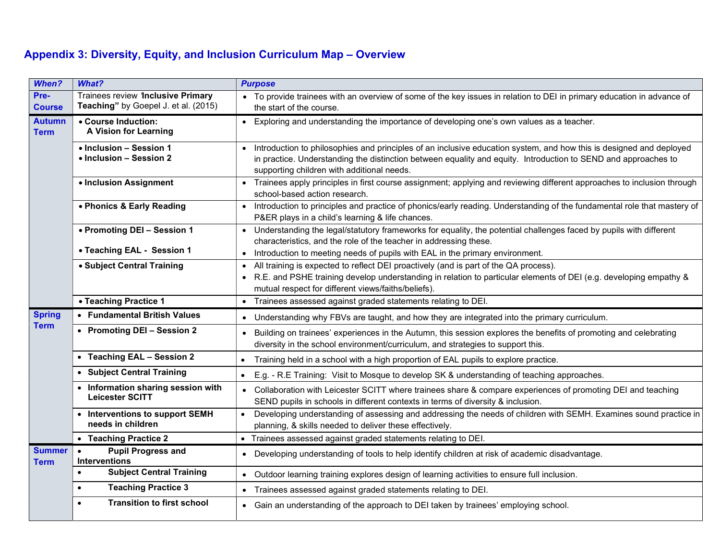# Appendix 3: Diversity, Equity, and Inclusion Curriculum Map – Overview

| <b>When?</b>                                                                                                                                                                                                                                                    | What?                                                                     | <b>Purpose</b>                                                                                                                                                                                                                                                                                   |  |
|-----------------------------------------------------------------------------------------------------------------------------------------------------------------------------------------------------------------------------------------------------------------|---------------------------------------------------------------------------|--------------------------------------------------------------------------------------------------------------------------------------------------------------------------------------------------------------------------------------------------------------------------------------------------|--|
| Pre-<br><b>Course</b>                                                                                                                                                                                                                                           | Trainees review 1nclusive Primary<br>Teaching" by Goepel J. et al. (2015) | • To provide trainees with an overview of some of the key issues in relation to DEI in primary education in advance of<br>the start of the course.                                                                                                                                               |  |
| <b>Autumn</b><br>• Course Induction:<br>A Vision for Learning<br><b>Term</b>                                                                                                                                                                                    |                                                                           | • Exploring and understanding the importance of developing one's own values as a teacher.                                                                                                                                                                                                        |  |
|                                                                                                                                                                                                                                                                 | • Inclusion - Session 1<br>• Inclusion - Session 2                        | Introduction to philosophies and principles of an inclusive education system, and how this is designed and deployed<br>$\bullet$<br>in practice. Understanding the distinction between equality and equity. Introduction to SEND and approaches to<br>supporting children with additional needs. |  |
|                                                                                                                                                                                                                                                                 | • Inclusion Assignment                                                    | • Trainees apply principles in first course assignment; applying and reviewing different approaches to inclusion through<br>school-based action research.                                                                                                                                        |  |
|                                                                                                                                                                                                                                                                 | • Phonics & Early Reading                                                 | Introduction to principles and practice of phonics/early reading. Understanding of the fundamental role that mastery of<br>$\bullet$<br>P&ER plays in a child's learning & life chances.                                                                                                         |  |
|                                                                                                                                                                                                                                                                 | • Promoting DEI - Session 1                                               | • Understanding the legal/statutory frameworks for equality, the potential challenges faced by pupils with different<br>characteristics, and the role of the teacher in addressing these.                                                                                                        |  |
| • Teaching EAL - Session 1<br>$\bullet$                                                                                                                                                                                                                         |                                                                           | Introduction to meeting needs of pupils with EAL in the primary environment.                                                                                                                                                                                                                     |  |
|                                                                                                                                                                                                                                                                 | • Subject Central Training                                                | • All training is expected to reflect DEI proactively (and is part of the QA process).<br>• R.E. and PSHE training develop understanding in relation to particular elements of DEI (e.g. developing empathy &<br>mutual respect for different views/faiths/beliefs).                             |  |
|                                                                                                                                                                                                                                                                 | • Teaching Practice 1                                                     | • Trainees assessed against graded statements relating to DEI.                                                                                                                                                                                                                                   |  |
| <b>Spring</b>                                                                                                                                                                                                                                                   | • Fundamental British Values                                              | • Understanding why FBVs are taught, and how they are integrated into the primary curriculum.                                                                                                                                                                                                    |  |
| <b>Term</b>                                                                                                                                                                                                                                                     | • Promoting DEI - Session 2                                               | • Building on trainees' experiences in the Autumn, this session explores the benefits of promoting and celebrating<br>diversity in the school environment/curriculum, and strategies to support this.                                                                                            |  |
|                                                                                                                                                                                                                                                                 | • Teaching EAL - Session 2                                                | Training held in a school with a high proportion of EAL pupils to explore practice.                                                                                                                                                                                                              |  |
|                                                                                                                                                                                                                                                                 | • Subject Central Training                                                | E.g. - R.E Training: Visit to Mosque to develop SK & understanding of teaching approaches.<br>$\bullet$                                                                                                                                                                                          |  |
|                                                                                                                                                                                                                                                                 | • Information sharing session with<br>Leicester SCITT                     | • Collaboration with Leicester SCITT where trainees share & compare experiences of promoting DEI and teaching<br>SEND pupils in schools in different contexts in terms of diversity & inclusion.                                                                                                 |  |
|                                                                                                                                                                                                                                                                 | • Interventions to support SEMH<br>needs in children                      | Developing understanding of assessing and addressing the needs of children with SEMH. Examines sound practice in<br>planning, & skills needed to deliver these effectively.                                                                                                                      |  |
|                                                                                                                                                                                                                                                                 | • Teaching Practice 2                                                     | • Trainees assessed against graded statements relating to DEI.                                                                                                                                                                                                                                   |  |
| <b>Summer</b><br><b>Pupil Progress and</b><br>$\bullet$<br>Interventions<br><b>Term</b><br><b>Subject Central Training</b><br>$\bullet$<br><b>Teaching Practice 3</b><br>$\bullet$<br>Trainees assessed against graded statements relating to DEI.<br>$\bullet$ |                                                                           | • Developing understanding of tools to help identify children at risk of academic disadvantage.                                                                                                                                                                                                  |  |
|                                                                                                                                                                                                                                                                 |                                                                           | • Outdoor learning training explores design of learning activities to ensure full inclusion.                                                                                                                                                                                                     |  |
|                                                                                                                                                                                                                                                                 |                                                                           |                                                                                                                                                                                                                                                                                                  |  |
|                                                                                                                                                                                                                                                                 | <b>Transition to first school</b><br>$\bullet$                            | • Gain an understanding of the approach to DEI taken by trainees' employing school.                                                                                                                                                                                                              |  |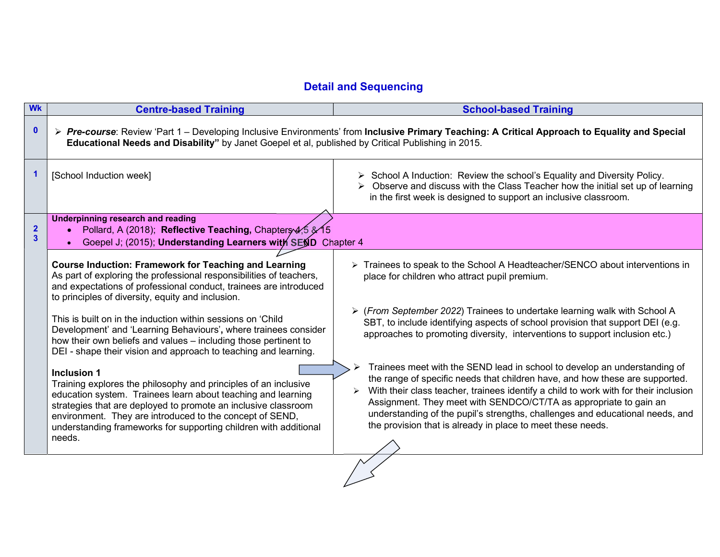# Detail and Sequencing

| <b>Wk</b>                               | <b>Centre-based Training</b>                                                                                                                                                                                                                                                                                                                                      | <b>School-based Training</b>                                                                                                                                                                                                                                                                                                                                                                                                                                                |  |
|-----------------------------------------|-------------------------------------------------------------------------------------------------------------------------------------------------------------------------------------------------------------------------------------------------------------------------------------------------------------------------------------------------------------------|-----------------------------------------------------------------------------------------------------------------------------------------------------------------------------------------------------------------------------------------------------------------------------------------------------------------------------------------------------------------------------------------------------------------------------------------------------------------------------|--|
| $\mathbf 0$                             | ≻ Pre-course: Review 'Part 1 – Developing Inclusive Environments' from Inclusive Primary Teaching: A Critical Approach to Equality and Special<br>Educational Needs and Disability" by Janet Goepel et al, published by Critical Publishing in 2015.                                                                                                              |                                                                                                                                                                                                                                                                                                                                                                                                                                                                             |  |
| 1                                       | [School Induction week]                                                                                                                                                                                                                                                                                                                                           | $\triangleright$ School A Induction: Review the school's Equality and Diversity Policy.<br>$\triangleright$ Observe and discuss with the Class Teacher how the initial set up of learning<br>in the first week is designed to support an inclusive classroom.                                                                                                                                                                                                               |  |
| $\mathbf{2}$<br>$\overline{\mathbf{3}}$ | <b>Underpinning research and reading</b><br>Pollard, A (2018); Reflective Teaching, Chapters 4,5 & 15<br>Goepel J; (2015); Understanding Learners with SEND Chapter 4                                                                                                                                                                                             |                                                                                                                                                                                                                                                                                                                                                                                                                                                                             |  |
|                                         | <b>Course Induction: Framework for Teaching and Learning</b><br>As part of exploring the professional responsibilities of teachers,<br>and expectations of professional conduct, trainees are introduced<br>to principles of diversity, equity and inclusion.                                                                                                     | $\triangleright$ Trainees to speak to the School A Headteacher/SENCO about interventions in<br>place for children who attract pupil premium.                                                                                                                                                                                                                                                                                                                                |  |
|                                         | This is built on in the induction within sessions on 'Child<br>Development' and 'Learning Behaviours', where trainees consider<br>how their own beliefs and values – including those pertinent to<br>DEI - shape their vision and approach to teaching and learning.                                                                                              | ▶ (From September 2022) Trainees to undertake learning walk with School A<br>SBT, to include identifying aspects of school provision that support DEI (e.g.<br>approaches to promoting diversity, interventions to support inclusion etc.)                                                                                                                                                                                                                                  |  |
|                                         | <b>Inclusion 1</b><br>Training explores the philosophy and principles of an inclusive<br>education system. Trainees learn about teaching and learning<br>strategies that are deployed to promote an inclusive classroom<br>environment. They are introduced to the concept of SEND,<br>understanding frameworks for supporting children with additional<br>needs. | Trainees meet with the SEND lead in school to develop an understanding of<br>the range of specific needs that children have, and how these are supported.<br>With their class teacher, trainees identify a child to work with for their inclusion<br>≻<br>Assignment. They meet with SENDCO/CT/TA as appropriate to gain an<br>understanding of the pupil's strengths, challenges and educational needs, and<br>the provision that is already in place to meet these needs. |  |
|                                         |                                                                                                                                                                                                                                                                                                                                                                   |                                                                                                                                                                                                                                                                                                                                                                                                                                                                             |  |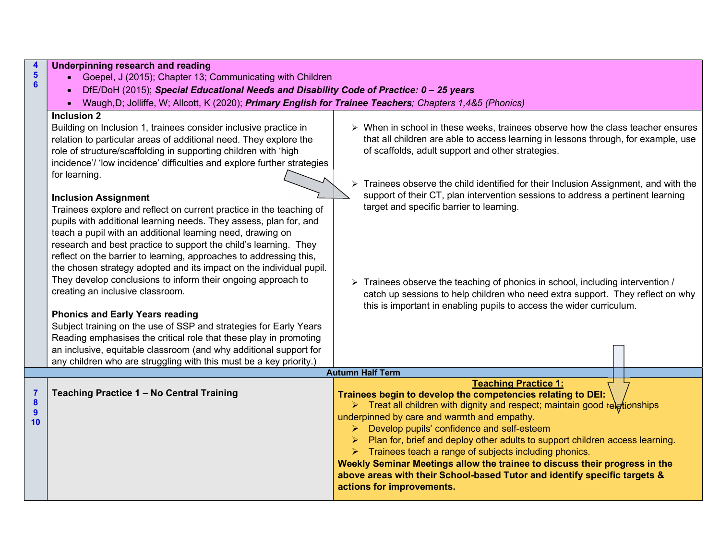| 4<br>$5\phantom{a}$<br>$6\phantom{a}$         | Underpinning research and reading<br>Goepel, J (2015); Chapter 13; Communicating with Children<br>DfE/DoH (2015); Special Educational Needs and Disability Code of Practice: 0 - 25 years<br>Waugh, D; Jolliffe, W; Allcott, K (2020); Primary English for Trainee Teachers; Chapters 1,4&5 (Phonics)<br>$\bullet$                                                                                                                                                                                                                                                                                                                                                                                                                                                                                                                                                                                                                                                                                                                                                                                                                                                                                                 |                                                                                                                                                                                                                                                                                                                                                                                                                                                                                                                                                                                                                                                                                                            |  |
|-----------------------------------------------|--------------------------------------------------------------------------------------------------------------------------------------------------------------------------------------------------------------------------------------------------------------------------------------------------------------------------------------------------------------------------------------------------------------------------------------------------------------------------------------------------------------------------------------------------------------------------------------------------------------------------------------------------------------------------------------------------------------------------------------------------------------------------------------------------------------------------------------------------------------------------------------------------------------------------------------------------------------------------------------------------------------------------------------------------------------------------------------------------------------------------------------------------------------------------------------------------------------------|------------------------------------------------------------------------------------------------------------------------------------------------------------------------------------------------------------------------------------------------------------------------------------------------------------------------------------------------------------------------------------------------------------------------------------------------------------------------------------------------------------------------------------------------------------------------------------------------------------------------------------------------------------------------------------------------------------|--|
|                                               | Inclusion $2$<br>Building on Inclusion 1, trainees consider inclusive practice in<br>relation to particular areas of additional need. They explore the<br>role of structure/scaffolding in supporting children with 'high<br>incidence'/ 'low incidence' difficulties and explore further strategies<br>for learning.<br><b>Inclusion Assignment</b><br>Trainees explore and reflect on current practice in the teaching of<br>pupils with additional learning needs. They assess, plan for, and<br>teach a pupil with an additional learning need, drawing on<br>research and best practice to support the child's learning. They<br>reflect on the barrier to learning, approaches to addressing this,<br>the chosen strategy adopted and its impact on the individual pupil.<br>They develop conclusions to inform their ongoing approach to<br>creating an inclusive classroom.<br><b>Phonics and Early Years reading</b><br>Subject training on the use of SSP and strategies for Early Years<br>Reading emphasises the critical role that these play in promoting<br>an inclusive, equitable classroom (and why additional support for<br>any children who are struggling with this must be a key priority.) | $\triangleright$ When in school in these weeks, trainees observe how the class teacher ensures<br>that all children are able to access learning in lessons through, for example, use<br>of scaffolds, adult support and other strategies.<br>Trainees observe the child identified for their Inclusion Assignment, and with the<br>support of their CT, plan intervention sessions to address a pertinent learning<br>target and specific barrier to learning.<br>> Trainees observe the teaching of phonics in school, including intervention /<br>catch up sessions to help children who need extra support. They reflect on why<br>this is important in enabling pupils to access the wider curriculum. |  |
|                                               |                                                                                                                                                                                                                                                                                                                                                                                                                                                                                                                                                                                                                                                                                                                                                                                                                                                                                                                                                                                                                                                                                                                                                                                                                    | <b>Autumn Half Term</b>                                                                                                                                                                                                                                                                                                                                                                                                                                                                                                                                                                                                                                                                                    |  |
| $\overline{7}$<br>$\boldsymbol{8}$<br>9<br>10 | Teaching Practice 1 - No Central Training                                                                                                                                                                                                                                                                                                                                                                                                                                                                                                                                                                                                                                                                                                                                                                                                                                                                                                                                                                                                                                                                                                                                                                          | <b>Teaching Practice 1:</b><br>Trainees begin to develop the competencies relating to DEI:<br>$\triangleright$ Treat all children with dignity and respect; maintain good relg tionships<br>underpinned by care and warmth and empathy.<br>> Develop pupils' confidence and self-esteem<br>Plan for, brief and deploy other adults to support children access learning.<br>$\triangleright$ Trainees teach a range of subjects including phonics.<br>Weekly Seminar Meetings allow the trainee to discuss their progress in the<br>above areas with their School-based Tutor and identify specific targets &<br>actions for improvements.                                                                  |  |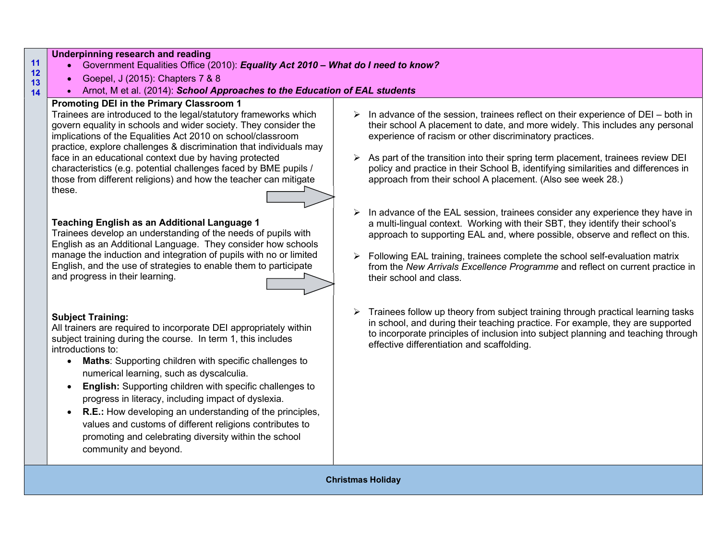### Underpinning research and reading

- Government Equalities Office (2010): Equality Act 2010 What do I need to know?
- Goepel, J (2015): Chapters 7 & 8
- Arnot, M et al. (2014): School Approaches to the Education of EAL students

# Promoting DEI in the Primary Classroom 1

Trainees are introduced to the legal/statutory frameworks which govern equality in schools and wider society. They consider the implications of the Equalities Act 2010 on school/classroom practice, explore challenges & discrimination that individuals may face in an educational context due by having protected characteristics (e.g. potential challenges faced by BME pupils / those from different religions) and how the teacher can mitigate these.

# Teaching English as an Additional Language 1

Trainees develop an understanding of the needs of pupils with English as an Additional Language. They consider how schools manage the induction and integration of pupils with no or limited English, and the use of strategies to enable them to participate and progress in their learning.

### Subject Training:

All trainers are required to incorporate DEI appropriately within subject training during the course. In term 1, this includes introductions to:

- Maths: Supporting children with specific challenges to numerical learning, such as dyscalculia.
- **English:** Supporting children with specific challenges to progress in literacy, including impact of dyslexia.
- R.E.: How developing an understanding of the principles, values and customs of different religions contributes to promoting and celebrating diversity within the school community and beyond.
- $\triangleright$  In advance of the session, trainees reflect on their experience of DEI both in their school A placement to date, and more widely. This includes any personal experience of racism or other discriminatory practices.
- $\triangleright$  As part of the transition into their spring term placement, trainees review DEI policy and practice in their School B, identifying similarities and differences in approach from their school A placement. (Also see week 28.)
- $\triangleright$  In advance of the EAL session, trainees consider any experience they have in a multi-lingual context. Working with their SBT, they identify their school's approach to supporting EAL and, where possible, observe and reflect on this.
- $\triangleright$  Following EAL training, trainees complete the school self-evaluation matrix from the New Arrivals Excellence Programme and reflect on current practice in their school and class.
- $\triangleright$  Trainees follow up theory from subject training through practical learning tasks in school, and during their teaching practice. For example, they are supported to incorporate principles of inclusion into subject planning and teaching through effective differentiation and scaffolding.

Christmas Holiday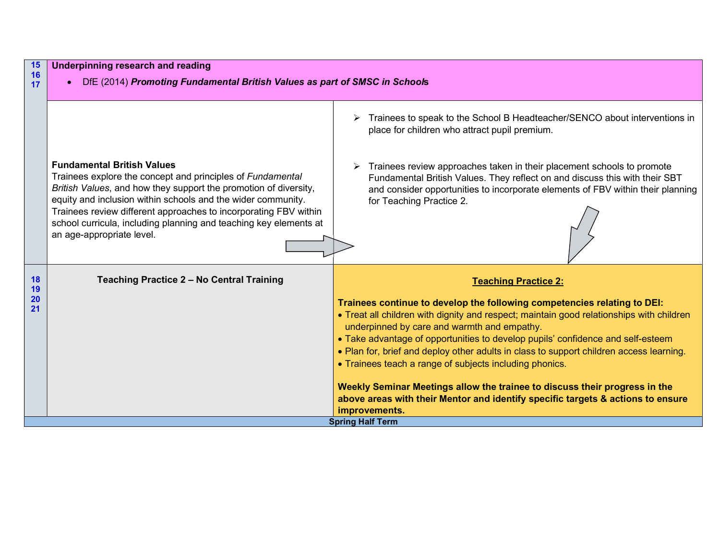| 15<br>16        | Underpinning research and reading                                                                                                                                                                                                                                                                                                                                                                         |                                                                                                                                                                                                                                                                      |  |
|-----------------|-----------------------------------------------------------------------------------------------------------------------------------------------------------------------------------------------------------------------------------------------------------------------------------------------------------------------------------------------------------------------------------------------------------|----------------------------------------------------------------------------------------------------------------------------------------------------------------------------------------------------------------------------------------------------------------------|--|
| 17              | DfE (2014) Promoting Fundamental British Values as part of SMSC in Schools                                                                                                                                                                                                                                                                                                                                |                                                                                                                                                                                                                                                                      |  |
|                 |                                                                                                                                                                                                                                                                                                                                                                                                           |                                                                                                                                                                                                                                                                      |  |
|                 |                                                                                                                                                                                                                                                                                                                                                                                                           | Trainees to speak to the School B Headteacher/SENCO about interventions in<br>place for children who attract pupil premium.                                                                                                                                          |  |
|                 | <b>Fundamental British Values</b><br>Trainees explore the concept and principles of Fundamental<br>British Values, and how they support the promotion of diversity,<br>equity and inclusion within schools and the wider community.<br>Trainees review different approaches to incorporating FBV within<br>school curricula, including planning and teaching key elements at<br>an age-appropriate level. | Trainees review approaches taken in their placement schools to promote<br>Fundamental British Values. They reflect on and discuss this with their SBT<br>and consider opportunities to incorporate elements of FBV within their planning<br>for Teaching Practice 2. |  |
| 18<br>19        | Teaching Practice 2 - No Central Training                                                                                                                                                                                                                                                                                                                                                                 | <b>Teaching Practice 2:</b>                                                                                                                                                                                                                                          |  |
| <b>20</b><br>21 |                                                                                                                                                                                                                                                                                                                                                                                                           | Trainees continue to develop the following competencies relating to DEI:                                                                                                                                                                                             |  |
|                 |                                                                                                                                                                                                                                                                                                                                                                                                           | • Treat all children with dignity and respect; maintain good relationships with children<br>underpinned by care and warmth and empathy.                                                                                                                              |  |
|                 |                                                                                                                                                                                                                                                                                                                                                                                                           | • Take advantage of opportunities to develop pupils' confidence and self-esteem                                                                                                                                                                                      |  |
|                 |                                                                                                                                                                                                                                                                                                                                                                                                           | • Plan for, brief and deploy other adults in class to support children access learning.                                                                                                                                                                              |  |
|                 |                                                                                                                                                                                                                                                                                                                                                                                                           | • Trainees teach a range of subjects including phonics.                                                                                                                                                                                                              |  |
|                 |                                                                                                                                                                                                                                                                                                                                                                                                           | Weekly Seminar Meetings allow the trainee to discuss their progress in the                                                                                                                                                                                           |  |
|                 |                                                                                                                                                                                                                                                                                                                                                                                                           | above areas with their Mentor and identify specific targets & actions to ensure                                                                                                                                                                                      |  |
|                 |                                                                                                                                                                                                                                                                                                                                                                                                           | improvements.<br><b>Spring Half Term</b>                                                                                                                                                                                                                             |  |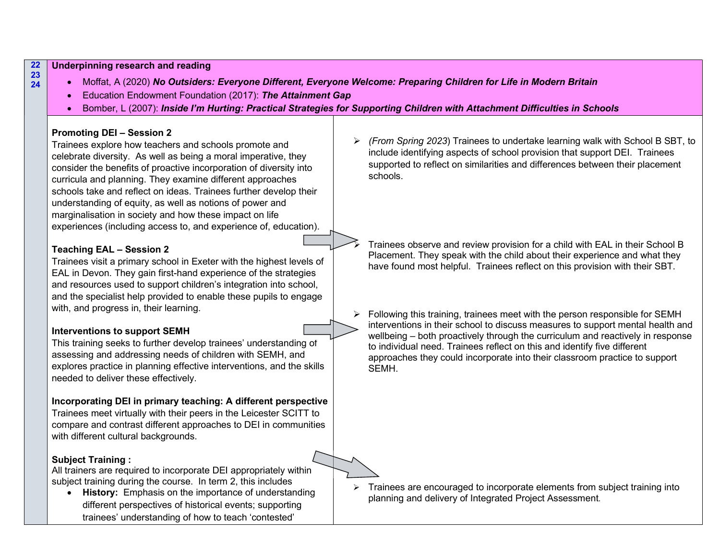22 Underpinning research and reading

- 23 24
- Moffat, A (2020) No Outsiders: Everyone Different, Everyone Welcome: Preparing Children for Life in Modern Britain
	- Education Endowment Foundation (2017): The Attainment Gap
	- Bomber, L (2007): Inside I'm Hurting: Practical Strategies for Supporting Children with Attachment Difficulties in Schools

### Promoting DEI – Session 2

Trainees explore how teachers and schools promote and celebrate diversity. As well as being a moral imperative, they consider the benefits of proactive incorporation of diversity into curricula and planning. They examine different approaches schools take and reflect on ideas. Trainees further develop their understanding of equity, as well as notions of power and marginalisation in society and how these impact on life experiences (including access to, and experience of, education).

# Teaching EAL – Session 2

Trainees visit a primary school in Exeter with the highest levels of EAL in Devon. They gain first-hand experience of the strategies and resources used to support children's integration into school, and the specialist help provided to enable these pupils to engage with, and progress in, their learning.

### Interventions to support SEMH

This training seeks to further develop trainees' understanding of assessing and addressing needs of children with SEMH, and explores practice in planning effective interventions, and the skills needed to deliver these effectively.

### Incorporating DEI in primary teaching: A different perspective

Trainees meet virtually with their peers in the Leicester SCITT to compare and contrast different approaches to DEI in communities with different cultural backgrounds.

### Subject Training :

All trainers are required to incorporate DEI appropriately within subject training during the course. In term 2, this includes

• History: Emphasis on the importance of understanding different perspectives of historical events; supporting trainees' understanding of how to teach 'contested'

 $\triangleright$  (From Spring 2023) Trainees to undertake learning walk with School B SBT, to include identifying aspects of school provision that support DEI. Trainees supported to reflect on similarities and differences between their placement schools.

 Trainees observe and review provision for a child with EAL in their School B Placement. They speak with the child about their experience and what they have found most helpful. Trainees reflect on this provision with their SBT.

 $\triangleright$  Following this training, trainees meet with the person responsible for SEMH interventions in their school to discuss measures to support mental health and wellbeing – both proactively through the curriculum and reactively in response to individual need. Trainees reflect on this and identify five different approaches they could incorporate into their classroom practice to support SEMH.

 $\triangleright$  Trainees are encouraged to incorporate elements from subject training into planning and delivery of Integrated Project Assessment.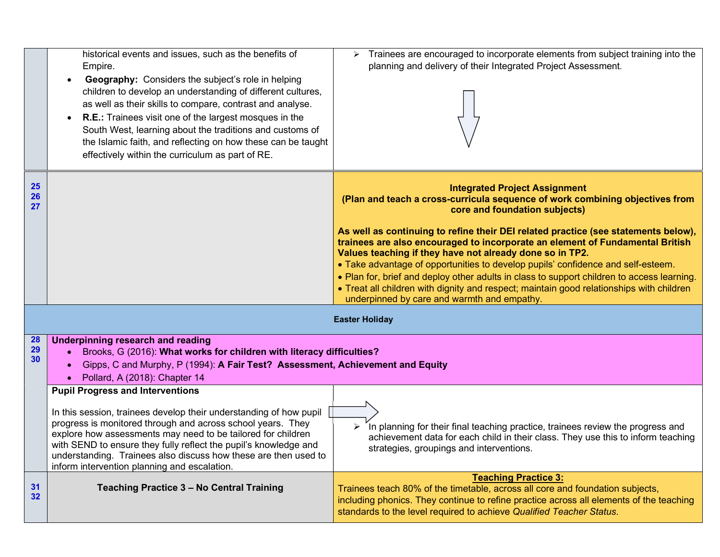|                       | historical events and issues, such as the benefits of<br>Empire.<br>Geography: Considers the subject's role in helping<br>$\bullet$<br>children to develop an understanding of different cultures,<br>as well as their skills to compare, contrast and analyse.<br><b>R.E.:</b> Trainees visit one of the largest mosques in the<br>$\bullet$<br>South West, learning about the traditions and customs of<br>the Islamic faith, and reflecting on how these can be taught<br>effectively within the curriculum as part of RE. | $\triangleright$ Trainees are encouraged to incorporate elements from subject training into the<br>planning and delivery of their Integrated Project Assessment.                                                                                                                                                                                                                                                                                                                                                                                                                                                                                                                                                      |
|-----------------------|-------------------------------------------------------------------------------------------------------------------------------------------------------------------------------------------------------------------------------------------------------------------------------------------------------------------------------------------------------------------------------------------------------------------------------------------------------------------------------------------------------------------------------|-----------------------------------------------------------------------------------------------------------------------------------------------------------------------------------------------------------------------------------------------------------------------------------------------------------------------------------------------------------------------------------------------------------------------------------------------------------------------------------------------------------------------------------------------------------------------------------------------------------------------------------------------------------------------------------------------------------------------|
| <b>25</b><br>26<br>27 |                                                                                                                                                                                                                                                                                                                                                                                                                                                                                                                               | <b>Integrated Project Assignment</b><br>(Plan and teach a cross-curricula sequence of work combining objectives from<br>core and foundation subjects)<br>As well as continuing to refine their DEI related practice (see statements below),<br>trainees are also encouraged to incorporate an element of Fundamental British<br>Values teaching if they have not already done so in TP2.<br>• Take advantage of opportunities to develop pupils' confidence and self-esteem.<br>. Plan for, brief and deploy other adults in class to support children to access learning.<br>• Treat all children with dignity and respect; maintain good relationships with children<br>underpinned by care and warmth and empathy. |
|                       |                                                                                                                                                                                                                                                                                                                                                                                                                                                                                                                               | <b>Easter Holiday</b>                                                                                                                                                                                                                                                                                                                                                                                                                                                                                                                                                                                                                                                                                                 |
| 28<br>29<br>30        | <b>Underpinning research and reading</b><br>Brooks, G (2016): What works for children with literacy difficulties?<br>Gipps, C and Murphy, P (1994): A Fair Test? Assessment, Achievement and Equity<br>Pollard, A (2018): Chapter 14<br><b>Pupil Progress and Interventions</b>                                                                                                                                                                                                                                               |                                                                                                                                                                                                                                                                                                                                                                                                                                                                                                                                                                                                                                                                                                                       |
|                       | In this session, trainees develop their understanding of how pupil<br>progress is monitored through and across school years. They<br>explore how assessments may need to be tailored for children<br>with SEND to ensure they fully reflect the pupil's knowledge and<br>understanding. Trainees also discuss how these are then used to<br>inform intervention planning and escalation.                                                                                                                                      | In planning for their final teaching practice, trainees review the progress and<br>achievement data for each child in their class. They use this to inform teaching<br>strategies, groupings and interventions.                                                                                                                                                                                                                                                                                                                                                                                                                                                                                                       |
| 31<br>32              | Teaching Practice 3 - No Central Training                                                                                                                                                                                                                                                                                                                                                                                                                                                                                     | <b>Teaching Practice 3:</b><br>Trainees teach 80% of the timetable, across all core and foundation subjects,<br>including phonics. They continue to refine practice across all elements of the teaching<br>standards to the level required to achieve Qualified Teacher Status.                                                                                                                                                                                                                                                                                                                                                                                                                                       |